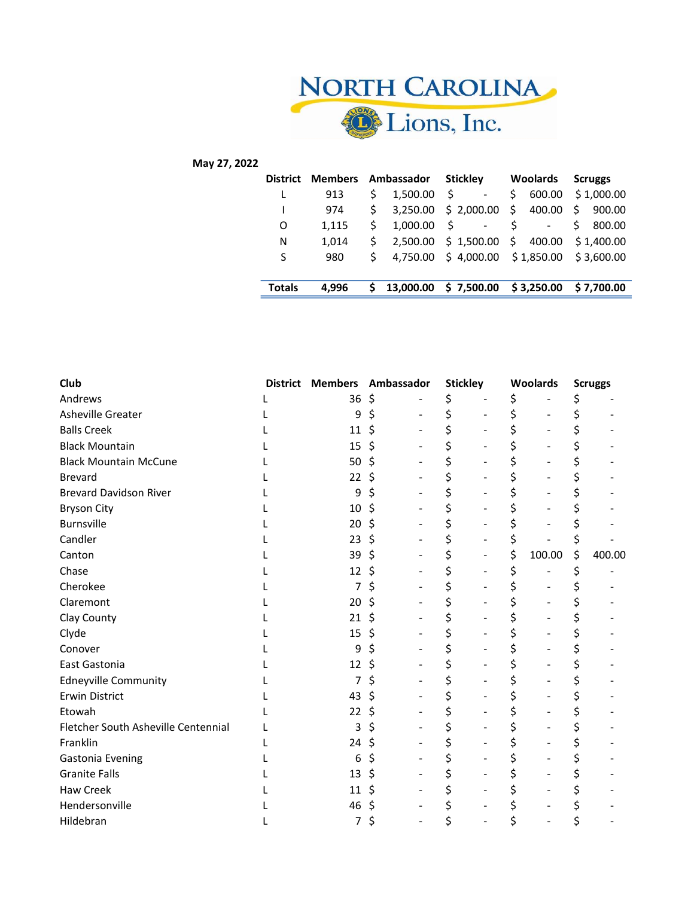

## May 27, 2022

|               | District Members | Ambassador  |           | Stickley                                  | <b>Woolards</b>      | <b>Scruggs</b>                |  |  |  |
|---------------|------------------|-------------|-----------|-------------------------------------------|----------------------|-------------------------------|--|--|--|
|               | 913              | Ś.          | 1.500.00  | Ś                                         | 600.00<br>S          | \$1,000.00                    |  |  |  |
|               | 974              | S.          | 3,250.00  | \$2,000.00                                | \$400.00             | $\ddot{\mathsf{S}}$<br>900.00 |  |  |  |
| O             | 1,115            | S.          | 1,000.00  | Ś<br>$\qquad \qquad \blacksquare$         |                      | 800.00                        |  |  |  |
| N             | 1,014            |             |           | 2,500.00 \$ 1,500.00                      | $\cdot$ \$<br>400.00 | \$1,400.00                    |  |  |  |
| S             | 980              | $\varsigma$ |           | 4,750.00 \$4,000.00 \$1,850.00 \$3,600.00 |                      |                               |  |  |  |
|               |                  |             |           |                                           |                      |                               |  |  |  |
| <b>Totals</b> | 4.996            |             | 13,000.00 | \$7,500.00                                | \$3,250.00           | \$7.700.00                    |  |  |  |

| Club                                |    |    | District Members Ambassador |    | <b>Stickley</b> | Woolards |        | <b>Scruggs</b> |        |
|-------------------------------------|----|----|-----------------------------|----|-----------------|----------|--------|----------------|--------|
| Andrews                             | 36 | \$ |                             | \$ |                 |          |        | \$             |        |
| Asheville Greater                   | 9  | \$ | $\overline{\phantom{0}}$    | \$ |                 |          |        | \$             |        |
| <b>Balls Creek</b>                  | 11 | \$ |                             | \$ |                 |          |        | \$             |        |
| <b>Black Mountain</b>               | 15 | \$ |                             | \$ |                 |          |        | \$             |        |
| <b>Black Mountain McCune</b>        | 50 | Ś  |                             |    |                 |          |        | \$             |        |
| <b>Brevard</b>                      | 22 | \$ |                             | \$ |                 |          |        | \$             |        |
| <b>Brevard Davidson River</b>       | 9  | Ś  |                             |    |                 |          |        | \$             |        |
| <b>Bryson City</b>                  | 10 | \$ |                             |    |                 |          |        |                |        |
| <b>Burnsville</b>                   | 20 | Ś  |                             |    |                 |          |        | \$             |        |
| Candler                             | 23 | Ś  |                             |    |                 |          |        | \$             |        |
| Canton                              | 39 | \$ |                             |    |                 | \$       | 100.00 | \$             | 400.00 |
| Chase                               | 12 | Ś  |                             |    | $\blacksquare$  |          |        | \$             |        |
| Cherokee                            | 7  | \$ |                             |    |                 |          |        | \$             |        |
| Claremont                           | 20 | \$ |                             |    |                 |          |        | \$             |        |
| Clay County                         | 21 | Ś  |                             |    |                 |          |        | \$             |        |
| Clyde                               | 15 | Ś  |                             | \$ |                 |          |        | \$             |        |
| Conover                             | 9  | Ś  |                             |    |                 |          |        | \$             |        |
| East Gastonia                       | 12 | \$ |                             |    |                 |          |        | \$             |        |
| <b>Edneyville Community</b>         | 7  | \$ |                             | \$ |                 |          |        | \$             |        |
| <b>Erwin District</b>               | 43 | \$ |                             | \$ |                 |          |        | \$             |        |
| Etowah                              | 22 |    |                             |    |                 |          |        | \$             |        |
| Fletcher South Asheville Centennial | 3  | Ś  |                             | \$ |                 |          |        | \$             |        |
| Franklin                            | 24 | \$ |                             |    |                 |          |        | \$             |        |
| Gastonia Evening                    | 6  | \$ |                             |    |                 |          |        | \$             |        |
| <b>Granite Falls</b>                | 13 | \$ |                             |    |                 |          |        | \$             |        |
| Haw Creek                           | 11 |    |                             |    |                 |          |        | \$             |        |
| Hendersonville                      | 46 | Ś  |                             |    |                 |          |        | \$             |        |
| Hildebran                           | 7  | Ś  |                             | \$ |                 |          |        | \$             |        |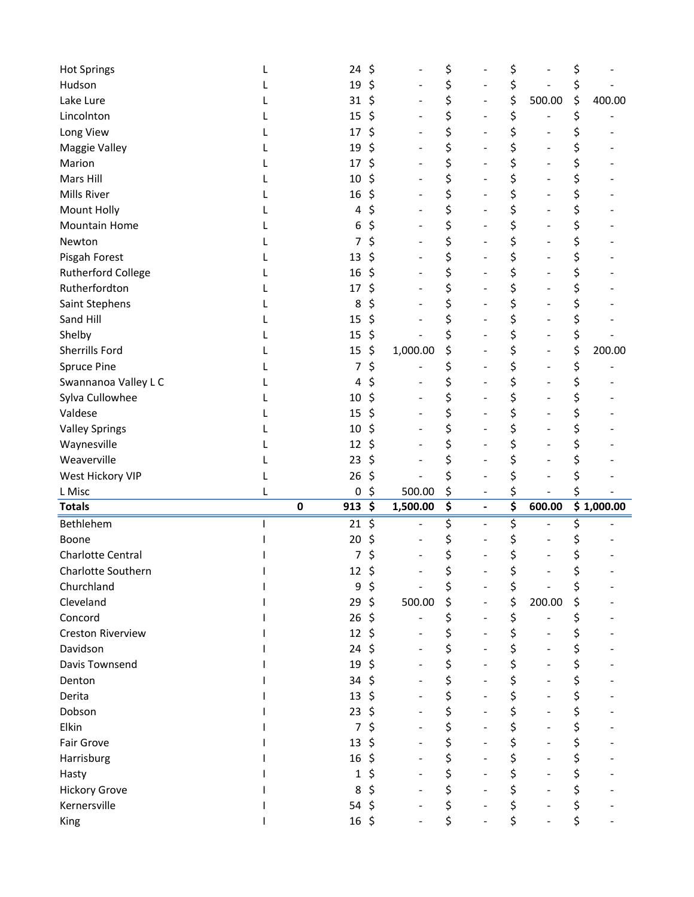| <b>Hot Springs</b>        | 24                | \$ |          | \$       |                | \$       |        | \$       |            |
|---------------------------|-------------------|----|----------|----------|----------------|----------|--------|----------|------------|
| Hudson                    | 19                | Ś  |          | \$       |                | \$       |        | \$       |            |
| Lake Lure                 | 31                | \$ |          | \$       |                | \$       | 500.00 | \$       | 400.00     |
| Lincolnton                | 15                | \$ |          | \$       |                | \$       |        | \$       |            |
| Long View                 | 17                | \$ |          | \$       |                | \$       |        | \$       |            |
| Maggie Valley             | 19                | \$ |          | \$       |                | \$       |        | \$       |            |
| Marion                    | 17                | \$ |          | \$       |                | \$       |        | \$       |            |
| Mars Hill                 | 10                | Ś  |          | \$       |                | \$       |        | \$       |            |
| <b>Mills River</b>        | 16                | Ś  |          | \$       |                | \$       |        | \$       |            |
| Mount Holly               | 4                 | \$ |          | \$       |                | \$       |        | \$       |            |
| <b>Mountain Home</b>      | 6                 | \$ |          | \$       |                | \$       |        | \$       |            |
| Newton                    | 7                 | \$ |          | \$       |                | \$       |        | \$       |            |
| Pisgah Forest             | 13                | \$ |          | \$       |                | \$       |        | \$       |            |
| <b>Rutherford College</b> | 16                | \$ |          | \$       |                | \$       |        | \$       |            |
| Rutherfordton             | 17                |    |          | \$       |                | \$       |        | \$       |            |
| Saint Stephens            | 8                 | \$ |          | \$       |                | \$       |        | \$       |            |
| Sand Hill                 | 15                | \$ |          |          |                | \$       |        | \$       |            |
| Shelby                    | 15                | \$ |          |          |                | \$       |        | \$       |            |
| Sherrills Ford            | 15                | \$ | 1,000.00 | \$       |                | \$       |        | \$       | 200.00     |
| <b>Spruce Pine</b>        | 7                 | \$ |          |          |                | \$       |        | \$       |            |
| Swannanoa Valley L C      | 4                 | \$ |          | \$       |                | \$       |        | \$       |            |
| Sylva Cullowhee           | 10                |    |          | \$       |                | \$       |        | \$       |            |
| Valdese                   | 15                | \$ |          |          |                | \$       |        | \$       |            |
| <b>Valley Springs</b>     | 10                | Ş  |          | \$       |                | \$       |        | \$       |            |
|                           |                   |    |          |          |                |          |        |          |            |
| Waynesville               | 12                |    |          | \$       |                | \$       |        | \$       |            |
| Weaverville               | 23                |    |          |          |                | \$       |        | \$       |            |
| West Hickory VIP          | 26                | \$ |          |          |                | \$       |        | \$       |            |
| L Misc                    | 0                 | \$ | 500.00   | \$       |                | \$       |        |          |            |
| <b>Totals</b>             | 913<br>0          | \$ | 1,500.00 | \$       | $\overline{a}$ | \$       | 600.00 |          | \$1,000.00 |
| Bethlehem                 | 21                | \$ |          |          |                | \$       |        | \$       |            |
| Boone                     | 20                |    |          |          |                | \$       |        |          |            |
| Charlotte Central         | 7                 | \$ |          | \$       |                | \$       |        | \$       |            |
| Charlotte Southern        | $12 \; \xi$       |    |          |          |                |          |        |          |            |
| Churchland                | 9                 | \$ |          |          |                | \$       |        | \$       |            |
| Cleveland                 | 29                | \$ | 500.00   | \$       |                | \$       | 200.00 | \$       |            |
| Concord                   | 26                | \$ |          | \$       |                | \$       |        | \$       |            |
| Creston Riverview         | 12                | \$ |          | \$       |                | \$       |        | \$       |            |
| Davidson                  | 24                | Ś  |          | \$       |                | \$       |        | \$       |            |
| Davis Townsend            | 19                | \$ |          | \$       |                | \$       |        | \$       |            |
| Denton                    | 34                | \$ |          | \$       |                | \$       |        | \$       |            |
| Derita                    | 13                | \$ |          | \$       |                | \$       |        | \$       |            |
| Dobson                    | 23                | \$ |          | \$       |                | \$       |        | \$       |            |
| Elkin                     | 7                 | \$ |          | \$       |                | \$       |        | \$       |            |
| Fair Grove                | 13                | \$ |          | \$       |                | \$       |        | \$       |            |
| Harrisburg                | 16                | S  |          | \$       |                | \$       |        | \$       |            |
| Hasty                     | 1                 | \$ |          | \$       |                | \$       |        | \$       |            |
| <b>Hickory Grove</b>      | 8                 | \$ |          | \$       |                | \$       |        | \$       |            |
| Kernersville              | 54<br>$16 \; \xi$ | \$ |          | \$<br>\$ |                | \$<br>\$ |        | \$<br>\$ |            |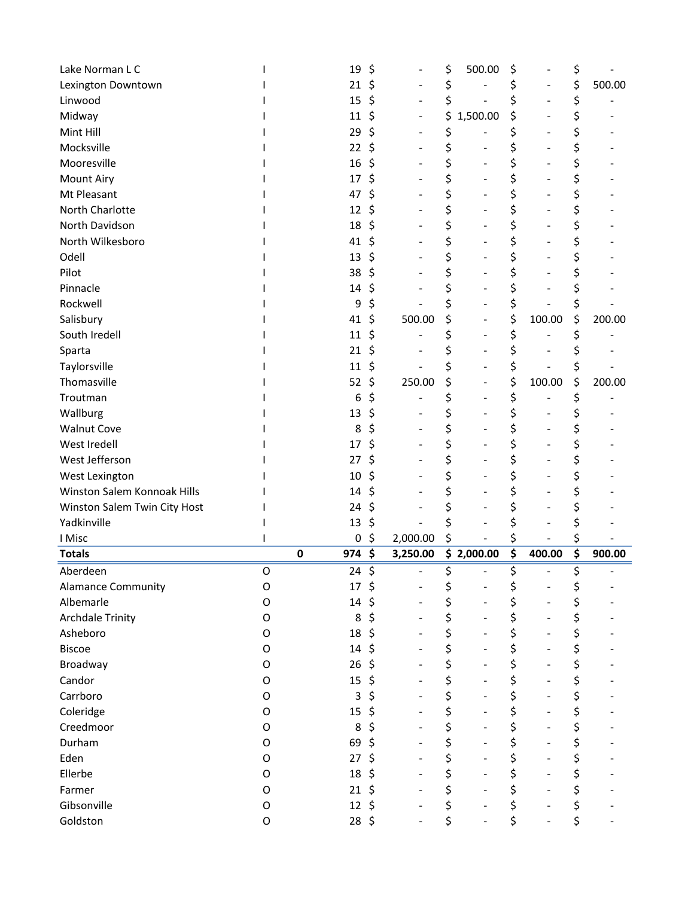| Lake Norman L C              |   |             | 19     | \$               |          | \$ | 500.00     | \$                   | \$           |
|------------------------------|---|-------------|--------|------------------|----------|----|------------|----------------------|--------------|
| Lexington Downtown           |   |             | 21     | \$               |          | \$ |            | \$                   | \$<br>500.00 |
| Linwood                      |   |             | 15     | \$               |          | \$ |            | \$                   | \$           |
| Midway                       |   |             | 11     | \$               |          | \$ | 1,500.00   | \$                   | \$           |
| Mint Hill                    |   |             | 29     | \$               |          | \$ |            | \$                   | \$           |
| Mocksville                   |   |             | 22     | \$               |          | \$ |            | \$                   | \$           |
| Mooresville                  |   |             | 16     | \$               |          | \$ |            | \$                   | \$           |
| <b>Mount Airy</b>            |   |             | 17     | \$               |          | \$ |            | \$                   | \$           |
| Mt Pleasant                  |   |             | 47     | Ś                |          | \$ |            | \$                   | \$           |
| North Charlotte              |   |             | 12     | \$               |          | \$ |            | \$                   | \$           |
| North Davidson               |   |             | 18     | \$               |          | \$ |            | \$                   | \$           |
| North Wilkesboro             |   |             | 41     | \$               |          | \$ |            | \$                   | \$           |
| Odell                        |   |             | 13     | \$               |          | \$ |            | \$                   | \$           |
| Pilot                        |   |             | 38     | \$               |          | \$ |            | \$                   | \$           |
| Pinnacle                     |   |             | 14     | Ś                |          | \$ |            | \$                   | \$           |
| Rockwell                     |   |             | 9      | Ś                |          |    |            | \$                   | \$           |
| Salisbury                    |   |             | 41     | \$               | 500.00   | \$ |            | \$<br>100.00         | \$<br>200.00 |
| South Iredell                |   |             | 11     | \$               |          | \$ |            | \$                   | \$           |
| Sparta                       |   |             | 21     | \$               |          |    |            | \$                   |              |
| Taylorsville                 |   |             | 11     | Ś                |          |    |            | \$                   | \$           |
| Thomasville                  |   |             | 52     | \$               | 250.00   | \$ |            | \$<br>100.00         | \$<br>200.00 |
| Troutman                     |   |             | 6      | \$               |          | \$ |            | \$                   | \$           |
| Wallburg                     |   |             | 13     | \$               |          | \$ |            | \$                   | \$           |
| <b>Walnut Cove</b>           |   |             | 8      | \$               |          | \$ |            | \$                   | \$           |
| West Iredell                 |   |             | 17     | Ś                |          | \$ |            | \$                   | \$           |
| West Jefferson               |   |             | 27     | Ś                |          | \$ |            | \$                   | \$           |
| West Lexington               |   |             | 10     | \$               |          | \$ |            | \$                   | \$           |
| Winston Salem Konnoak Hills  |   |             | 14     | \$               |          | \$ |            | \$                   | \$           |
| Winston Salem Twin City Host |   |             | 24     | \$               |          | \$ |            | \$                   | \$           |
| Yadkinville                  |   |             | 13     | \$               |          |    |            | \$                   | \$           |
| I Misc                       |   |             | 0      | \$               | 2,000.00 |    |            | \$                   | \$           |
| <b>Totals</b>                |   | $\mathbf 0$ | 974 \$ |                  | 3,250.00 |    | \$2,000.00 | \$<br>400.00         | \$<br>900.00 |
| Aberdeen                     | O |             | 24     | $\overline{\xi}$ |          | ς  |            | \$                   | \$           |
| <b>Alamance Community</b>    | O |             | 17     | \$               |          | \$ |            | \$                   | \$           |
| Albemarle                    | O |             | 14     | \$               |          | \$ |            | \$                   | \$           |
| <b>Archdale Trinity</b>      | O |             | 8      | \$               |          | \$ |            | \$                   | \$           |
| Asheboro                     | O |             | 18     | \$               |          | \$ |            | \$                   | \$           |
| <b>Biscoe</b>                | 0 |             | 14     | Ś                |          | \$ |            | \$                   | \$           |
| Broadway                     | O |             | 26     | \$               |          | \$ |            | \$<br>$\blacksquare$ | \$           |
| Candor                       | O |             | 15     | \$               |          | \$ |            | \$                   | \$           |
| Carrboro                     | O |             | 3      | \$               |          | \$ |            | \$                   | \$           |
| Coleridge                    | O |             | 15     | \$               |          | \$ |            | \$                   | \$           |
| Creedmoor                    | O |             | 8      | \$               |          | \$ |            | \$                   | \$           |
| Durham                       | 0 |             | 69     | \$               |          | \$ |            | \$                   | \$           |
| Eden                         |   |             |        |                  |          |    |            |                      |              |
|                              | O |             | 27     |                  |          | \$ |            | \$                   | \$           |
| Ellerbe                      | O |             | 18     | Ś                |          | \$ |            | \$                   | \$           |
| Farmer                       | O |             | 21     | \$               |          | \$ |            | \$                   | \$           |
| Gibsonville                  | O |             | 12     | \$               |          | \$ |            | \$                   | \$           |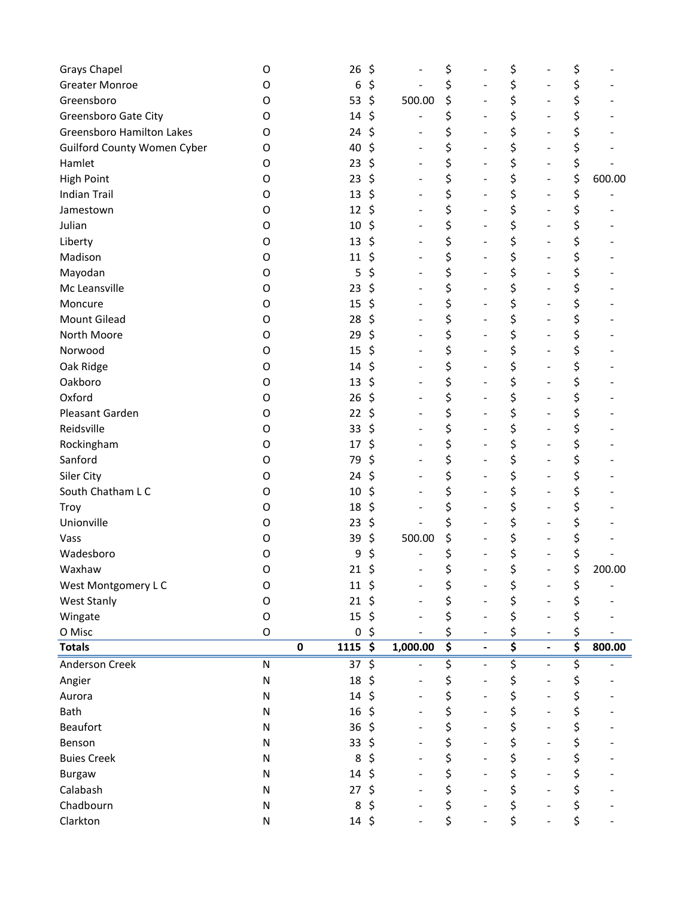| <b>Grays Chapel</b>                | O           |           | 26         | \$ |                          | \$                              |                          | \$ |                              | \$ |        |
|------------------------------------|-------------|-----------|------------|----|--------------------------|---------------------------------|--------------------------|----|------------------------------|----|--------|
| <b>Greater Monroe</b>              | O           |           | 6          | \$ |                          | \$                              |                          | \$ |                              | \$ |        |
| Greensboro                         | O           |           | 53         | \$ | 500.00                   | \$                              |                          | \$ |                              | \$ |        |
| Greensboro Gate City               | 0           |           | 14         | \$ |                          | \$                              |                          | \$ |                              | \$ |        |
| <b>Greensboro Hamilton Lakes</b>   | O           |           | 24         | \$ |                          | \$                              | $\blacksquare$           | \$ | ۰                            | \$ |        |
| <b>Guilford County Women Cyber</b> | O           |           | 40         | \$ | $\overline{\phantom{a}}$ | \$                              | $\blacksquare$           | \$ | ۰                            | \$ |        |
| Hamlet                             | O           |           | 23         | \$ |                          | \$                              |                          | \$ |                              | \$ |        |
| <b>High Point</b>                  | O           |           | 23         | \$ |                          | \$                              |                          | \$ | $\overline{\phantom{a}}$     | \$ | 600.00 |
| <b>Indian Trail</b>                | O           |           | 13         | \$ | $\overline{\phantom{a}}$ | \$                              | ÷                        | \$ | $\overline{\phantom{a}}$     | \$ |        |
| Jamestown                          | O           |           | 12         | \$ |                          | \$                              |                          | \$ |                              | \$ |        |
| Julian                             | O           |           | 10         | \$ | $\overline{\phantom{0}}$ | \$                              |                          | \$ |                              | \$ |        |
| Liberty                            | O           |           | 13         | \$ | $\blacksquare$           | \$                              |                          | \$ | $\overline{\phantom{0}}$     | \$ |        |
| Madison                            | O           |           | 11         | Ş  |                          | \$                              |                          | \$ |                              | \$ |        |
| Mayodan                            | O           |           | 5          | \$ |                          | \$                              |                          | \$ |                              | \$ |        |
| Mc Leansville                      | O           |           | 23         | \$ | $\blacksquare$           | \$                              | $\blacksquare$           | \$ |                              | \$ |        |
| Moncure                            | O           |           | 15         | \$ | $\blacksquare$           | \$                              |                          | \$ | $\overline{\phantom{0}}$     | \$ |        |
| Mount Gilead                       | O           |           | 28         | \$ |                          | \$                              |                          | \$ |                              | \$ |        |
| North Moore                        | O           |           | 29         | \$ | $\overline{\phantom{m}}$ | \$                              |                          | \$ |                              | \$ |        |
| Norwood                            | O           |           | 15         | \$ | $\blacksquare$           | \$                              | $\overline{\phantom{0}}$ | \$ | $\qquad \qquad \blacksquare$ | \$ |        |
| Oak Ridge                          | O           |           | 14         | \$ |                          | \$                              |                          | \$ |                              | \$ |        |
| Oakboro                            | O           |           | 13         | \$ | $\blacksquare$           | \$                              |                          | \$ |                              | \$ |        |
| Oxford                             | O           |           | 26         | \$ |                          | \$                              |                          | \$ |                              | \$ |        |
| Pleasant Garden                    | O           |           | 22         | \$ |                          | \$                              |                          | \$ |                              | \$ |        |
| Reidsville                         | O           |           | 33         | \$ | $\blacksquare$           | \$                              |                          | \$ |                              | \$ |        |
| Rockingham                         | O           |           | 17         | \$ |                          | \$                              |                          | \$ |                              | \$ |        |
| Sanford                            | O           |           | 79         | \$ |                          | \$                              |                          | \$ | $\overline{\phantom{0}}$     | \$ |        |
| Siler City                         | O           |           | 24         | \$ |                          | \$                              |                          | \$ |                              | \$ |        |
| South Chatham L C                  | O           |           | 10         | \$ |                          | \$                              |                          | \$ |                              | \$ |        |
| Troy                               | O           |           | 18         | \$ |                          | \$                              | $\overline{a}$           | \$ | $\overline{\phantom{0}}$     | \$ |        |
| Unionville                         | O           |           | 23         | \$ |                          | \$                              |                          | \$ |                              | \$ |        |
| Vass                               | O           |           | 39         | \$ | 500.00                   | \$                              |                          | \$ |                              | \$ |        |
| Wadesboro                          | O           |           | 9          | \$ |                          | \$                              |                          | \$ |                              | \$ |        |
| Waxhaw                             | $\Omega$    |           | 21         | \$ |                          | ς                               |                          | ς  |                              | ς  | 200.00 |
| West Montgomery L C                | O           |           | $11 \;$ \$ |    |                          | \$                              |                          | \$ |                              | \$ |        |
| <b>West Stanly</b>                 | O           |           | 21         | Ŝ. |                          | \$                              |                          | \$ |                              | \$ |        |
| Wingate                            | O           |           | 15         | Ś  |                          | \$                              |                          | \$ |                              | \$ |        |
| O Misc                             | $\mathsf O$ |           | 0          | \$ |                          | \$                              |                          | \$ |                              | \$ |        |
| <b>Totals</b>                      |             | $\pmb{0}$ | $1115$ \$  |    | 1,000.00                 | $\overline{\boldsymbol{\zeta}}$ |                          | \$ |                              | \$ | 800.00 |
| <b>Anderson Creek</b>              | ${\sf N}$   |           | 37         | \$ |                          | \$                              | $\overline{a}$           | \$ | $\blacksquare$               | \$ |        |
| Angier                             | N           |           | 18         | \$ |                          | \$                              |                          | \$ |                              | \$ |        |
| Aurora                             | N           |           | 14         | Ś  |                          | \$                              |                          | \$ |                              | \$ |        |
| Bath                               | N           |           | 16         | \$ |                          | \$                              |                          | \$ |                              | \$ |        |
| <b>Beaufort</b>                    | N           |           | 36         |    |                          | \$                              |                          | \$ |                              | \$ |        |
| Benson                             | N           |           | 33         | S  |                          | \$                              |                          | \$ |                              | \$ |        |
| <b>Buies Creek</b>                 | N           |           | 8          |    |                          | \$                              |                          | \$ |                              | \$ |        |
| <b>Burgaw</b>                      | N           |           | 14         | \$ |                          | \$                              |                          | \$ |                              | \$ |        |
| Calabash                           | N           |           | 27         | \$ |                          | \$                              |                          | \$ |                              | \$ |        |
| Chadbourn                          | N           |           | 8          | \$ |                          | \$                              |                          | \$ |                              | \$ |        |
| Clarkton                           | N           |           | 14         | \$ |                          | \$                              |                          | \$ |                              | \$ |        |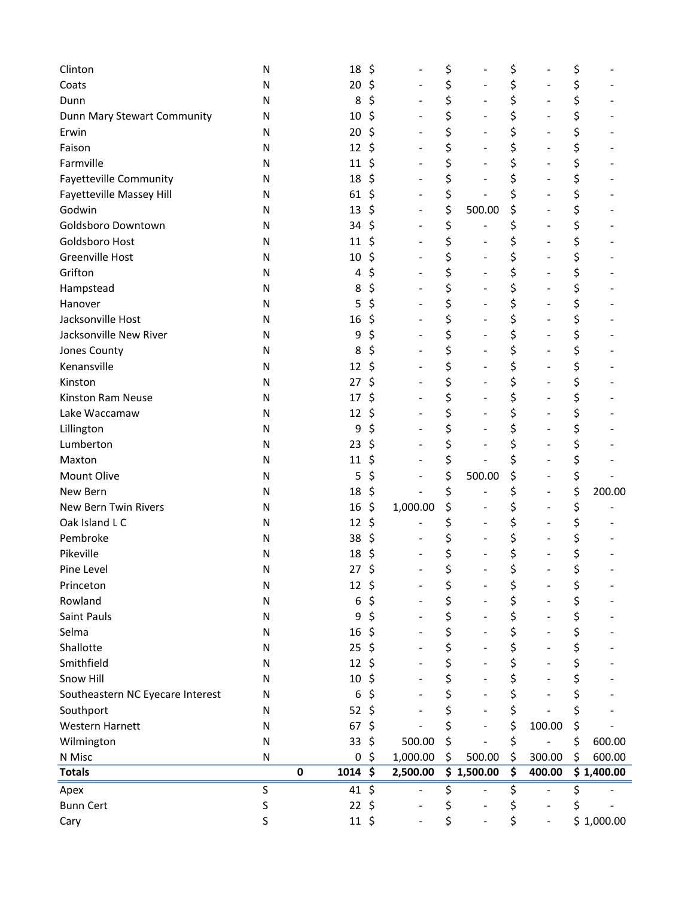| Clinton                          | N |             | 18               | \$ |                | \$                   | \$ |                          | \$     |            |
|----------------------------------|---|-------------|------------------|----|----------------|----------------------|----|--------------------------|--------|------------|
| Coats                            | Ν |             | 20               | \$ |                | \$                   | \$ |                          | \$     |            |
| Dunn                             | N |             | 8                | \$ |                | \$                   | \$ | $\blacksquare$           | \$     |            |
| Dunn Mary Stewart Community      | Ν |             | 10               | \$ |                | \$<br>۰              | \$ |                          | \$     |            |
| Erwin                            | Ν |             | 20               | \$ |                | \$                   | \$ |                          | \$     |            |
| Faison                           | Ν |             | 12               | \$ |                | \$                   | \$ |                          | \$     |            |
| Farmville                        | Ν |             | 11               | \$ |                | \$                   | \$ |                          | \$     |            |
| <b>Fayetteville Community</b>    | Ν |             | 18               | \$ |                | \$                   | \$ | $\blacksquare$           | \$     |            |
| Fayetteville Massey Hill         | Ν |             | 61               | \$ | $\blacksquare$ | \$                   | \$ | $\blacksquare$           | \$     |            |
| Godwin                           | Ν |             | 13               | \$ |                | \$<br>500.00         | \$ |                          | \$     |            |
| Goldsboro Downtown               | N |             | 34               | \$ |                | \$                   | \$ |                          | \$     |            |
| Goldsboro Host                   | Ν |             | 11               | \$ |                | \$                   | \$ | $\overline{a}$           | \$     |            |
| <b>Greenville Host</b>           | Ν |             | 10               | \$ |                | \$                   | \$ |                          | \$     |            |
| Grifton                          | Ν |             | 4                | \$ |                | \$<br>$\blacksquare$ | \$ |                          | \$     |            |
| Hampstead                        | Ν |             | 8                | \$ |                | \$                   | \$ |                          | \$     |            |
| Hanover                          | N |             | 5                | \$ |                | \$                   | \$ |                          | \$     |            |
| Jacksonville Host                | N |             | 16               | \$ |                | \$                   | \$ |                          | \$     |            |
| Jacksonville New River           | N |             | 9                | \$ |                | \$                   | \$ | $\overline{\phantom{0}}$ | \$     |            |
| Jones County                     | Ν |             | 8                | \$ | $\blacksquare$ | \$<br>$\blacksquare$ | \$ | $\blacksquare$           | \$     |            |
| Kenansville                      | N |             | 12               | \$ |                | \$                   | \$ |                          | \$     |            |
| Kinston                          | Ν |             | 27               | \$ |                | \$                   | \$ |                          | \$     |            |
| Kinston Ram Neuse                | Ν |             | 17               | \$ |                | \$                   | \$ | $\blacksquare$           | \$     |            |
| Lake Waccamaw                    | N |             | 12               | \$ |                | \$                   | \$ |                          | \$     |            |
| Lillington                       | Ν |             | 9                | \$ |                | \$                   | \$ |                          | \$     |            |
| Lumberton                        | Ν |             | 23               | \$ |                | \$                   | \$ |                          | \$     |            |
| Maxton                           | Ν |             | 11               | \$ |                | \$                   | \$ |                          | \$     |            |
| Mount Olive                      | Ν |             | 5                | \$ |                | \$<br>500.00         | \$ |                          | \$     |            |
| New Bern                         | Ν |             | 18               | \$ |                | \$                   | \$ | $\blacksquare$           | \$     | 200.00     |
| New Bern Twin Rivers             | Ν |             | 16               | \$ | 1,000.00       | \$                   | \$ | $\overline{\phantom{0}}$ | \$     |            |
| Oak Island L C                   | N |             | 12               | \$ |                | \$                   | \$ |                          | \$     |            |
| Pembroke                         | N |             | 38               | \$ |                | \$                   | \$ |                          |        |            |
| Pikeville                        | N |             | 18               | \$ |                | \$                   | \$ |                          | \$     |            |
| Pine Level                       | N |             | $27 \frac{2}{7}$ |    |                | \$                   | \$ |                          | ¢<br>Ļ |            |
| Princeton                        | Ν |             | 12               | \$ |                | \$                   | \$ |                          | \$     |            |
| Rowland                          | Ν |             | 6                | \$ |                | \$                   | \$ |                          | \$     |            |
| Saint Pauls                      | Ν |             | 9                | \$ |                | \$                   | \$ |                          | \$     |            |
| Selma                            | Ν |             | 16               | \$ |                | \$                   | \$ |                          | \$     |            |
| Shallotte                        | Ν |             | 25               | Ś  |                | \$                   | \$ |                          | \$     |            |
| Smithfield                       | Ν |             | 12               | \$ |                | \$                   | \$ |                          | \$     |            |
| Snow Hill                        | N |             | 10               | \$ |                | \$                   | \$ |                          | \$     |            |
| Southeastern NC Eyecare Interest | Ν |             | 6                | \$ |                | \$                   | \$ |                          | \$     |            |
| Southport                        | N |             | 52               | \$ |                | \$                   | \$ |                          | \$     |            |
| Western Harnett                  | Ν |             | 67               | \$ |                | \$                   | \$ | 100.00                   | \$     |            |
| Wilmington                       | Ν |             | 33               | \$ | 500.00         | \$                   | \$ |                          | \$     | 600.00     |
| N Misc                           | Ν |             | 0                | \$ | 1,000.00       | \$<br>500.00         | \$ | 300.00                   | \$     | 600.00     |
| <b>Totals</b>                    |   | $\mathbf 0$ | 1014             | \$ | 2,500.00       | \$1,500.00           | \$ | 400.00                   |        | \$1,400.00 |
| Apex                             | S |             | 41               | \$ |                | \$                   | Ş  |                          | \$     |            |
| <b>Bunn Cert</b>                 | S |             | 22               | \$ |                | \$                   | \$ | $\overline{a}$           | \$     |            |
| Cary                             | S |             | $11 \; \text{S}$ |    |                | \$                   | \$ | $\overline{a}$           |        | \$1,000.00 |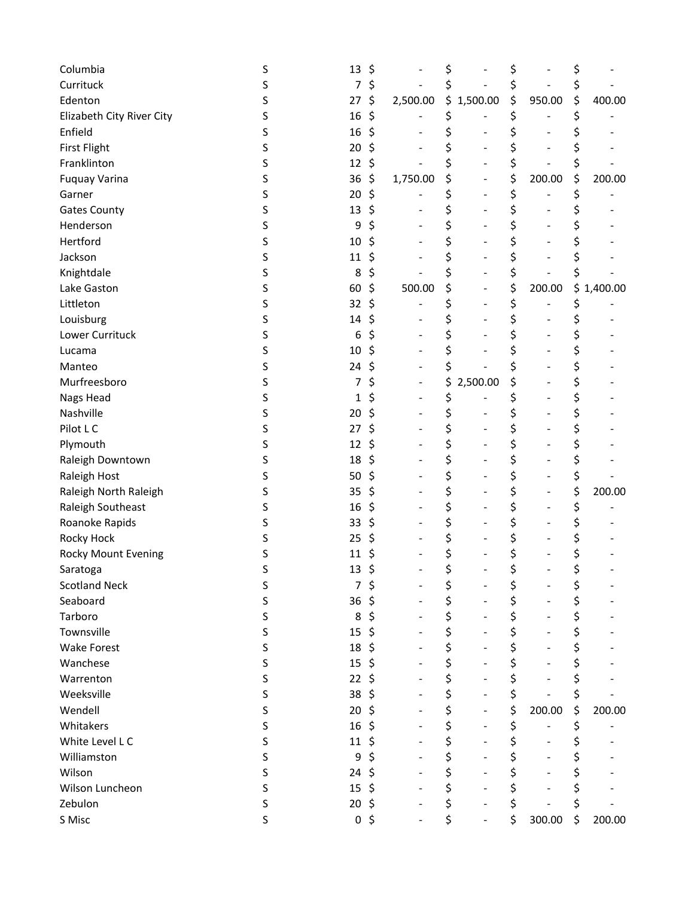| Columbia                  | S | 13             | \$             | \$             | \$                             | \$           |
|---------------------------|---|----------------|----------------|----------------|--------------------------------|--------------|
| Currituck                 | S | 7              | \$             | \$             | \$                             |              |
| Edenton                   | S | 27             | \$<br>2,500.00 | \$1,500.00     | \$<br>950.00                   | \$<br>400.00 |
| Elizabeth City River City | S | 16             | \$             | \$             | \$                             |              |
| Enfield                   | S | 16             | \$             | \$             |                                |              |
| <b>First Flight</b>       | S | 20             | \$             | \$             | \$                             |              |
| Franklinton               | S | 12             | \$             | \$             | \$                             |              |
| <b>Fuquay Varina</b>      | S | 36             | \$<br>1,750.00 | \$             | \$<br>200.00                   | \$<br>200.00 |
| Garner                    | S | 20             | \$             | \$             | \$                             | \$           |
| <b>Gates County</b>       | S | 13             | \$             | \$             | \$                             |              |
| Henderson                 | S | 9              | \$             | \$             | \$                             |              |
| Hertford                  | S | 10             | \$             | \$             | \$                             |              |
| Jackson                   | S | 11             | \$             | \$             | \$                             |              |
| Knightdale                | S | 8              | \$             | \$             | \$                             |              |
| Lake Gaston               | S | 60             | \$<br>500.00   | \$             | \$<br>200.00                   | \$1,400.00   |
| Littleton                 | S | 32             | \$             | \$             | \$                             | \$           |
| Louisburg                 | S | $14\,$         | \$             | \$             | \$                             |              |
| Lower Currituck           | S | 6              | \$             | \$             | \$                             |              |
| Lucama                    | S | 10             | \$             | \$             | \$                             |              |
| Manteo                    | S | 24             | \$             | \$             | \$                             |              |
| Murfreesboro              | S | 7              | \$             | \$<br>2,500.00 | \$                             | \$           |
| Nags Head                 | S | 1              | \$             | \$             | \$<br>$\overline{\phantom{0}}$ |              |
| Nashville                 | S | 20             | \$             | \$             | \$                             |              |
| Pilot L C                 | S | 27             | \$             | \$             | \$                             |              |
| Plymouth                  | S | 12             | \$             | \$             | \$                             |              |
| Raleigh Downtown          | S | 18             | \$             | \$             | \$                             | \$           |
| Raleigh Host              | S | 50             | \$             | \$             | \$                             | \$           |
| Raleigh North Raleigh     | S | 35             | \$             | \$             | \$                             | \$<br>200.00 |
| Raleigh Southeast         | S | 16             | \$             | \$             | \$<br>۰                        | \$           |
| Roanoke Rapids            | S | 33             | \$             | \$             | \$                             |              |
| Rocky Hock                | S | 25             | \$             | \$             | \$                             |              |
| Rocky Mount Evening       | S | 11             | \$             | \$             | \$                             |              |
| Saratoga                  | S | 13             | \$             | \$             | \$                             |              |
| <b>Scotland Neck</b>      | S | 7              | \$             | \$             | \$                             | \$           |
| Seaboard                  | S | 36             | \$             | \$             | \$                             | \$           |
| Tarboro                   | S | 8              | \$             | \$             | \$                             | \$           |
| Townsville                | S | 15             | \$             | \$             | \$                             | \$           |
| <b>Wake Forest</b>        | S | 18             | \$             | \$             | \$                             | \$           |
| Wanchese                  | S | 15             | \$             | \$             | \$                             | \$           |
| Warrenton                 | S | 22             | \$             | \$             | \$                             | \$           |
| Weeksville                | S | 38             | \$             | \$             | \$                             | \$           |
| Wendell                   | S | 20             | \$             | \$             | \$<br>200.00                   | \$<br>200.00 |
| Whitakers                 | S | 16             | \$             | \$             | \$                             | \$           |
| White Level L C           | S | 11             | \$             | \$             | \$                             | \$           |
| Williamston               | S | 9              | \$             | \$             | \$                             | \$           |
| Wilson                    | S | 24             | \$             | \$             | \$                             | \$           |
| Wilson Luncheon           | S | 15             | \$             | \$             | \$                             |              |
| Zebulon                   | S | 20             | \$             | \$             | \$                             | \$           |
| S Misc                    | S | 0 <sup>5</sup> |                | \$             | \$<br>300.00                   | \$<br>200.00 |
|                           |   |                |                |                |                                |              |